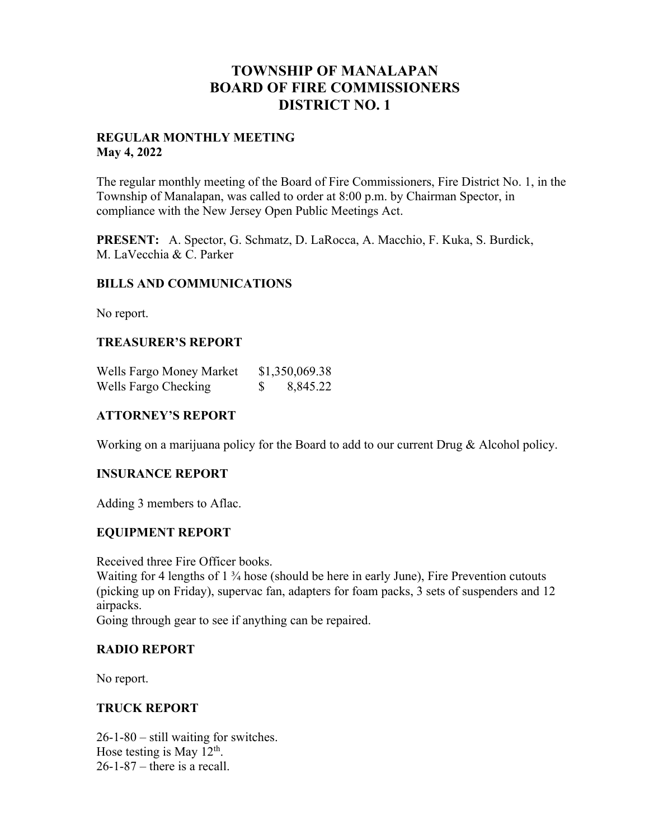# **TOWNSHIP OF MANALAPAN BOARD OF FIRE COMMISSIONERS DISTRICT NO. 1**

### **REGULAR MONTHLY MEETING May 4, 2022**

The regular monthly meeting of the Board of Fire Commissioners, Fire District No. 1, in the Township of Manalapan, was called to order at 8:00 p.m. by Chairman Spector, in compliance with the New Jersey Open Public Meetings Act.

**PRESENT:** A. Spector, G. Schmatz, D. LaRocca, A. Macchio, F. Kuka, S. Burdick, M. LaVecchia & C. Parker

### **BILLS AND COMMUNICATIONS**

No report.

### **TREASURER'S REPORT**

| Wells Fargo Money Market | \$1,350,069.38 |
|--------------------------|----------------|
| Wells Fargo Checking     | 8,845.22       |

## **ATTORNEY'S REPORT**

Working on a marijuana policy for the Board to add to our current Drug & Alcohol policy.

### **INSURANCE REPORT**

Adding 3 members to Aflac.

### **EQUIPMENT REPORT**

Received three Fire Officer books.

Waiting for 4 lengths of 1 <sup>3</sup>/<sub>4</sub> hose (should be here in early June), Fire Prevention cutouts (picking up on Friday), supervac fan, adapters for foam packs, 3 sets of suspenders and 12 airpacks.

Going through gear to see if anything can be repaired.

### **RADIO REPORT**

No report.

### **TRUCK REPORT**

26-1-80 – still waiting for switches. Hose testing is May  $12<sup>th</sup>$ .  $26-1-87$  – there is a recall.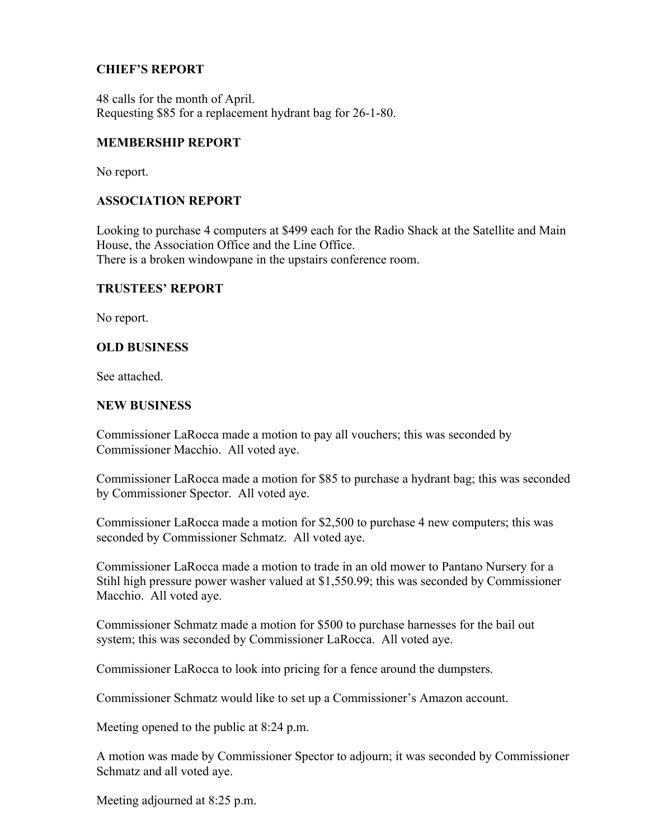## **CHIEF'S REPORT**

48 calls for the month of April. Requesting \$85 for a replacement hydrant bag for 26-1-80.

## **MEMBERSHIP REPORT**

No report.

### **ASSOCIATION REPORT**

Looking to purchase 4 computers at \$499 each for the Radio Shack at the Satellite and Main House, the Association Office and the Line Office. There is a broken windowpane in the upstairs conference room.

### **TRUSTEES' REPORT**

No report.

### **OLD BUSINESS**

See attached.

### **NEW BUSINESS**

Commissioner LaRocca made a motion to pay all vouchers; this was seconded by Commissioner Macchio. All voted aye.

Commissioner LaRocca made a motion for \$85 to purchase a hydrant bag; this was seconded by Commissioner Spector. All voted aye.

Commissioner LaRocca made a motion for \$2,500 to purchase 4 new computers; this was seconded by Commissioner Schmatz. All voted aye.

Commissioner LaRocca made a motion to trade in an old mower to Pantano Nursery for a Stihl high pressure power washer valued at \$1,550.99; this was seconded by Commissioner Macchio. All voted aye.

Commissioner Schmatz made a motion for \$500 to purchase harnesses for the bail out system; this was seconded by Commissioner LaRocca. All voted aye.

Commissioner LaRocca to look into pricing for a fence around the dumpsters.

Commissioner Schmatz would like to set up a Commissioner's Amazon account.

Meeting opened to the public at 8:24 p.m.

A motion was made by Commissioner Spector to adjourn; it was seconded by Commissioner Schmatz and all voted aye.

Meeting adjourned at 8:25 p.m.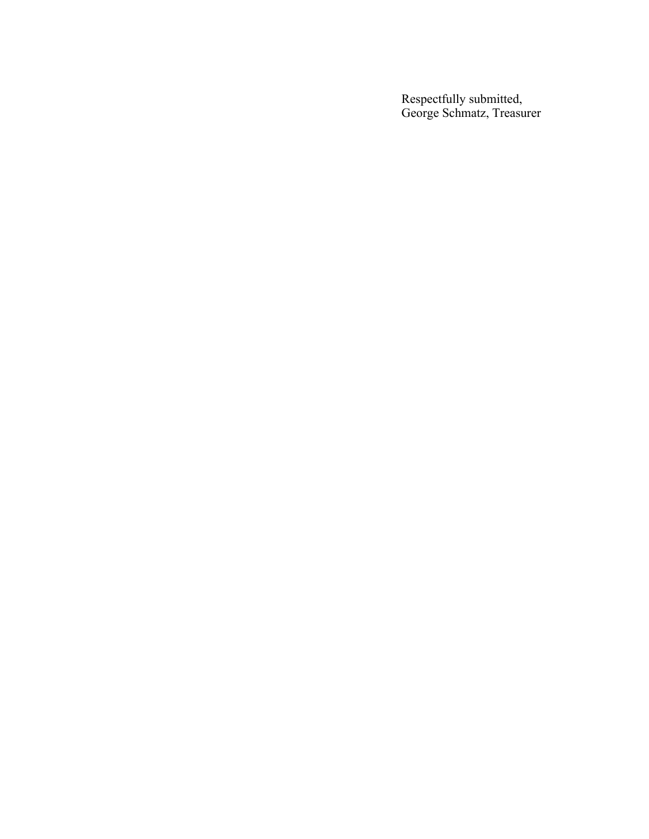Respectfully submitted, George Schmatz, Treasurer